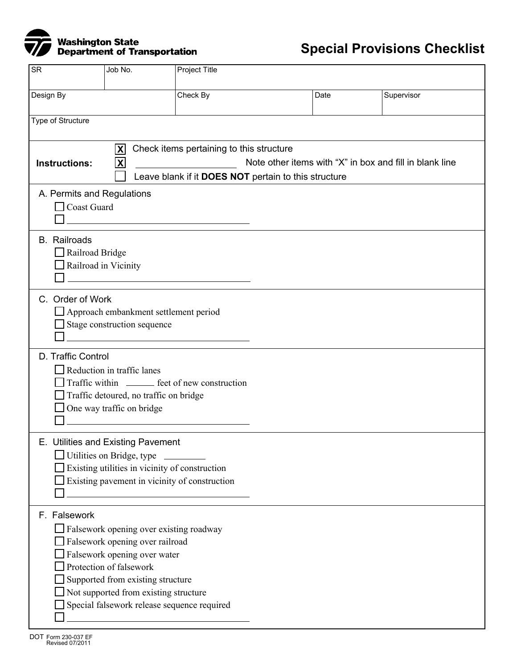

| <b>SR</b>                                                                                                                                                                                                             | Job No.                                                                                                                                                                                                                                                            | Project Title                                    |  |      |            |
|-----------------------------------------------------------------------------------------------------------------------------------------------------------------------------------------------------------------------|--------------------------------------------------------------------------------------------------------------------------------------------------------------------------------------------------------------------------------------------------------------------|--------------------------------------------------|--|------|------------|
| Design By                                                                                                                                                                                                             |                                                                                                                                                                                                                                                                    | Check By                                         |  | Date | Supervisor |
| Type of Structure                                                                                                                                                                                                     |                                                                                                                                                                                                                                                                    |                                                  |  |      |            |
| Check items pertaining to this structure<br>$ \mathbf{X} $<br>$\mathbf{x}$<br>Note other items with "X" in box and fill in blank line<br><b>Instructions:</b><br>Leave blank if it DOES NOT pertain to this structure |                                                                                                                                                                                                                                                                    |                                                  |  |      |            |
| A. Permits and Regulations<br>Coast Guard                                                                                                                                                                             |                                                                                                                                                                                                                                                                    |                                                  |  |      |            |
| <b>B.</b> Railroads<br>$\Box$ Railroad Bridge<br>Railroad in Vicinity                                                                                                                                                 | <u> 1980 - Andrea Andrew Maria (h. 1980).</u>                                                                                                                                                                                                                      |                                                  |  |      |            |
| C. Order of Work                                                                                                                                                                                                      | Approach embankment settlement period<br>Stage construction sequence<br>and the state of the state of the state of the state of the state of the state of                                                                                                          |                                                  |  |      |            |
| D. Traffic Control                                                                                                                                                                                                    | Reduction in traffic lanes<br>Traffic detoured, no traffic on bridge<br>One way traffic on bridge                                                                                                                                                                  | Traffic within ________ feet of new construction |  |      |            |
|                                                                                                                                                                                                                       | E. Utilities and Existing Pavement<br>Utilities on Bridge, type<br>Existing utilities in vicinity of construction<br>Existing pavement in vicinity of construction                                                                                                 |                                                  |  |      |            |
| F. Falsework                                                                                                                                                                                                          | Falsework opening over existing roadway<br>Falsework opening over railroad<br>Falsework opening over water<br>Protection of falsework<br>Supported from existing structure<br>Not supported from existing structure<br>Special falsework release sequence required |                                                  |  |      |            |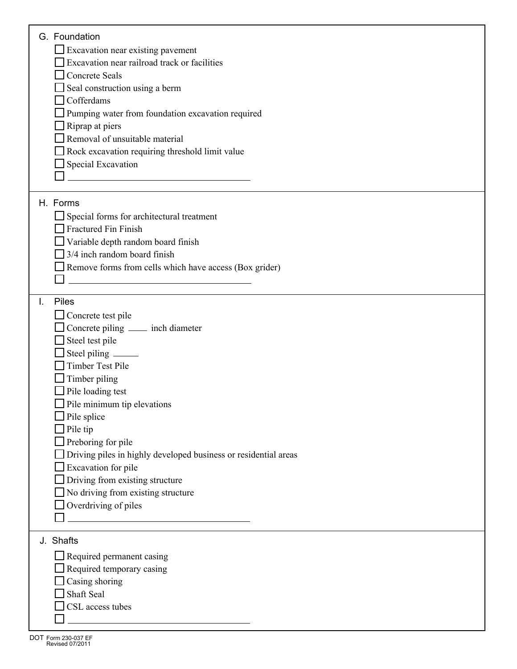| G. Foundation                                                                                                        |  |
|----------------------------------------------------------------------------------------------------------------------|--|
| $\Box$ Excavation near existing pavement                                                                             |  |
| Excavation near railroad track or facilities                                                                         |  |
| Concrete Seals                                                                                                       |  |
| Seal construction using a berm                                                                                       |  |
| Cofferdams                                                                                                           |  |
|                                                                                                                      |  |
| Pumping water from foundation excavation required                                                                    |  |
| $\Box$ Riprap at piers                                                                                               |  |
| Removal of unsuitable material                                                                                       |  |
| Rock excavation requiring threshold limit value                                                                      |  |
| Special Excavation                                                                                                   |  |
| <u> 1980 - Jan Barbara Barbara, maska karatan da</u>                                                                 |  |
|                                                                                                                      |  |
| H. Forms                                                                                                             |  |
| Special forms for architectural treatment                                                                            |  |
| Fractured Fin Finish                                                                                                 |  |
| Variable depth random board finish                                                                                   |  |
| 3/4 inch random board finish                                                                                         |  |
| Remove forms from cells which have access (Box grider)                                                               |  |
|                                                                                                                      |  |
|                                                                                                                      |  |
| <b>Piles</b><br>I.                                                                                                   |  |
| $\Box$ Concrete test pile                                                                                            |  |
| $\Box$ Concrete piling $\Box$ inch diameter                                                                          |  |
|                                                                                                                      |  |
| $\Box$ Steel test pile                                                                                               |  |
| $\Box$ Steel piling $\_\_$                                                                                           |  |
| Timber Test Pile                                                                                                     |  |
| $\Box$ Timber piling                                                                                                 |  |
| Pile loading test                                                                                                    |  |
| $\Box$ Pile minimum tip elevations                                                                                   |  |
| $\Box$ Pile splice                                                                                                   |  |
| $\Box$ Pile tip                                                                                                      |  |
| $\Box$ Preboring for pile                                                                                            |  |
| Driving piles in highly developed business or residential areas                                                      |  |
| Excavation for pile                                                                                                  |  |
| Driving from existing structure                                                                                      |  |
|                                                                                                                      |  |
| No driving from existing structure                                                                                   |  |
| $\Box$ Overdriving of piles                                                                                          |  |
| <u> 1980 - Jan Stein Stein Stein Stein Stein Stein Stein Stein Stein Stein Stein Stein Stein Stein Stein Stein S</u> |  |
| J. Shafts                                                                                                            |  |
|                                                                                                                      |  |
| $\Box$ Required permanent casing                                                                                     |  |
| Required temporary casing                                                                                            |  |
| $\Box$ Casing shoring                                                                                                |  |
| Shaft Seal                                                                                                           |  |
| CSL access tubes                                                                                                     |  |
|                                                                                                                      |  |
|                                                                                                                      |  |

٦

Г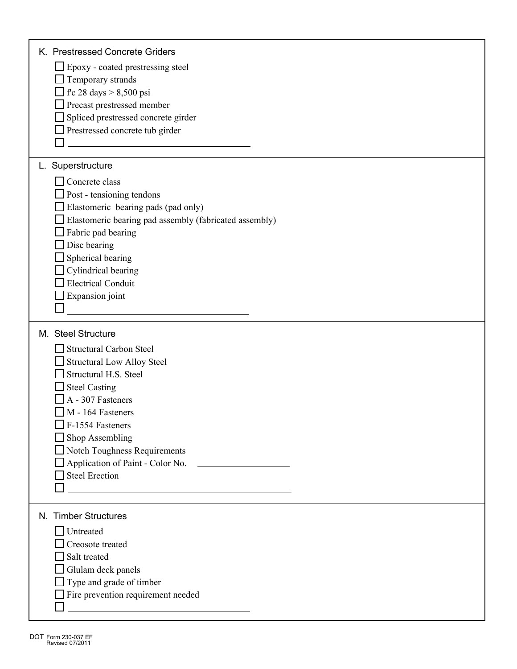| K. Prestressed Concrete Griders                        |
|--------------------------------------------------------|
| Epoxy - coated prestressing steel                      |
| $\Box$ Temporary strands                               |
| $\Gamma$ fc 28 days > 8,500 psi                        |
| Precast prestressed member                             |
| Spliced prestressed concrete girder                    |
| Prestressed concrete tub girder                        |
|                                                        |
| L. Superstructure                                      |
| Concrete class                                         |
| Post - tensioning tendons                              |
| Elastomeric bearing pads (pad only)                    |
| Elastomeric bearing pad assembly (fabricated assembly) |
| Fabric pad bearing                                     |
| Disc bearing                                           |
| Spherical bearing                                      |
| Cylindrical bearing                                    |
| <b>Electrical Conduit</b>                              |
| Expansion joint                                        |
|                                                        |
|                                                        |
| M. Steel Structure                                     |
| Structural Carbon Steel                                |
| <b>Structural Low Alloy Steel</b>                      |
| Structural H.S. Steel                                  |
| <b>Steel Casting</b>                                   |
| A - 307 Fasteners                                      |
| M - 164 Fasteners                                      |
| $\Box$ F-1554 Fasteners                                |
| Shop Assembling                                        |
| Notch Toughness Requirements                           |
| Application of Paint - Color No.                       |
| <b>Steel Erection</b>                                  |
|                                                        |
| N. Timber Structures                                   |
|                                                        |
| Untreated                                              |
| Creosote treated                                       |
| Salt treated                                           |
| Glulam deck panels                                     |
| Type and grade of timber                               |
| Fire prevention requirement needed                     |
|                                                        |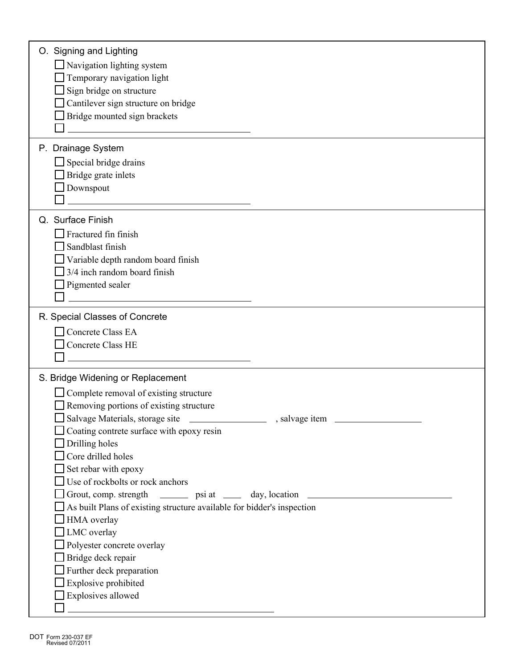| O. Signing and Lighting                                                          |
|----------------------------------------------------------------------------------|
| □ Navigation lighting system                                                     |
| Temporary navigation light                                                       |
| Sign bridge on structure                                                         |
| Cantilever sign structure on bridge                                              |
| Bridge mounted sign brackets                                                     |
|                                                                                  |
| P. Drainage System                                                               |
| $\Box$ Special bridge drains                                                     |
| $\Box$ Bridge grate inlets                                                       |
| Downspout                                                                        |
|                                                                                  |
| Q. Surface Finish                                                                |
| $\Box$ Fractured fin finish                                                      |
| Sandblast finish                                                                 |
| Variable depth random board finish                                               |
| 3/4 inch random board finish                                                     |
| $\Box$ Pigmented sealer                                                          |
|                                                                                  |
|                                                                                  |
| R. Special Classes of Concrete                                                   |
| Concrete Class EA                                                                |
| Concrete Class HE                                                                |
| the control of the control of the control of the control of the control of       |
| S. Bridge Widening or Replacement                                                |
| $\Box$ Complete removal of existing structure                                    |
| $\Box$ Removing portions of existing structure                                   |
| Salvage Materials, storage site<br>, salvage item                                |
| $\Box$ Coating contrete surface with epoxy resin                                 |
| $\Box$ Drilling holes                                                            |
| $\Box$ Core drilled holes                                                        |
| $\Box$ Set rebar with epoxy                                                      |
| $\Box$ Use of rockbolts or rock anchors                                          |
| Grout, comp. strength ________ psi at _____ day, location ______________________ |
| As built Plans of existing structure available for bidder's inspection           |
| $\Box$ HMA overlay                                                               |
| $\Box$ LMC overlay                                                               |
| $\Box$ Polyester concrete overlay                                                |
| Bridge deck repair                                                               |
| $\Box$ Further deck preparation                                                  |
| $\Box$ Explosive prohibited<br>$\Box$ Explosives allowed                         |
|                                                                                  |
|                                                                                  |